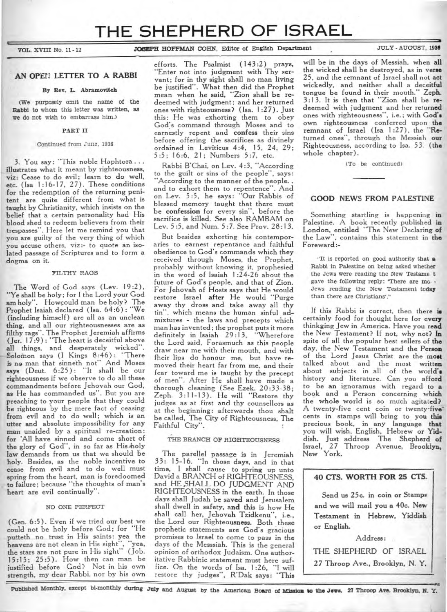# **THE SHEPHERD OF ISRAEL**

**VOL. XVIII No. 11-12 JOSEPH HOFFMAN COHN, Editor of English Department** JULY - AUGUST, 1936

## **AN OPEN LETTER TO A RABBI**

#### **By** Rev. L. Abramovitch

(We purposely omit the name of the Rabbi to whom this letter was written, as we do not wish to embarrass him.)

## PART II

#### Continued from June, 1936

3. You say: "This noble Haphtora illustrates what it meant by righteousness, viz: Cease to do evil; learn to do well, etc. (Isa 1:16-17, 27). These conditions for the redemption of the returning penitent are quite different from what is taught by Christianity, which insists on the belief that a certain personality had His blood shed to redeem believers from their trespasses". Here let me remind you that you are guilty of the very thing of which you accuse others, viz:- to quote an isolated passage of Scriptures and to form a dogma on it.

#### FILTHY RAGS

The Word of God says (Lev. 19:2), "Ye shall be holy; for I the Lord your God am holy". Howcould man be holy? The Prophet Isaiah declared (Isa. 64:6) : "We (including himself) are all as an unclean thing, and all our righteousnesses are as filthy rags". The Prophet Jeremiah affirms (Jer. 17:9) : "The heart is deceitful above all things, and desperately wicked". Solomon says (I Kings 8:46) : "There is no man that sinneth not" And Moses says (Deut. 6:25): "It shall be our righteousness if we observe to do all these commandments before Jehovah our God, as He has commanded us". But you are preaching to your people that they could be righteous by the mere fact of ceasing **from evil** and to do well; which is **an**  utter and absolute impossibility for **any man unaided by** a spiritual re-creation: **for** 'All have sinned and come short **of the** glory of God", in so far as His 'holy law demands from us that we should be holy. Besides, as the noble incentive to cease from evil and to do well must spring from the heart, man is foredoomed **to** failure; because "the thoughts of man's heart are evil continually".

## NO ONE PERFECT

(Gen. 6:5). Even if we tried our best we could not be holy before God; **for** "He putteth no trust in His **saints:** yea **the**  heavens are not clean in His sight", "yea, the stars are not pure in His sight" ( Job. 15:15; 25:5). How then can man be justified before God? Not in his own strength, my dear Rabbi, nor by his own

efforts. The Psalmist (143 **:2)** prays, -Enter not into judgment with Thy servant; for in thy sight shall no man living be justified". What then did the Prophet mean when he said, "Zion shall be redeemed with judgment; and her returned ones with righteousness? (Isa. 1:27). Just this: He was exhorting them to obey God's command through Moses and to earnestly repent and **confess** their sins before offering the sacrifices as divinely ordained in Leviticus 4:4, 15, 24, 29; 5 :5 ; 16 :6, 21 ; Numbers 5 :7, etc.

Rabbi B'Chai, on Lev. 4:3, "According to the guilt or sins of the people", says: "According to the manner of the people.. and to exhort them to repentence". And on Lev. 5:5, he says: "Our Rabbis of blessed memory taught that there must be **confession** for every sin", before the sacrifice is killed. See also RAMBAM on Lev. 5:5, and Num. 5:7. See Prov. 28:13.

But besides exhorting his contemporaries to earnest repentance and faithful obedience to God's commands which they received through Moses, the Prophet, probably without knowing it, prophesied in the word of Isaiah 1 :24-26 about the future of God's people, and that of Zion. For Jehovah of Hosts says that He would restore Israel **after** He would "Purge away thy dross and take away all thy tin", which means the human sinful admixtures - the laws and precepts which man has invented ; the prophet puts it more definitely in Isaiah 29:13, the Lord said, Forasmuch as this people draw near me with their mouth, and with fheir lips do honour me, but have removed their heart far from me, and their fear toward me is taught by the precept of men". After He shall have made a thorough cleaning (See Ezek. 20:33-38; Zeph. 3:11-13). He will "Restore thy judges as at first and thy counsellors as at the beginning: afterwards thou shalt be called, The City of Righteousness, The Faithful City".

## THE BRANCH **OF RIGHTEOUSNESS**

The parellel passage is in Jeremiah 33: 15-16. "In those days, and in that time, I shall cause to spring up unto David a BRANCH of RIGHTEOUSNESS, and HE SHALL DO JUDGMENT AND RIGHTEOUSNESS in the earth. In those days shall Judah be **saved and** Jerusalem shall dwell in safety, **and this** is how He shall call her, Jehovah Tzidkenu", i.e., the Lord our Righteousness. Both these prophetic statements are God's gracious promises to Israel to come to pass in the days of the Messsiah. This is the general opinion of orthodox Judaism. One authoritative Rabbinic statement must here suf-<br>fice. On the words of Isa. 1:26, "I will fice. On the words of Isa. 1:26, restore thy judges", R'Dak says: **"This** 

will be **in** the days of Messiah, when **all**  the wicked shall be destroyed, as in verse 25, and the remnant of Israel shall **not** act wickedly, and neither shall a deceitful tongue be found in their mouth." Zeph. 3:13. It is then that "Zion shall be **redeemed** with judgment and her **returned**  ones with righteousness", i.e.; with **God's**  own righteousness conferred upon **the remnant of Israel (Isa 1:27),** the **"Returned** ones", through the Messiah our Righteousness, according to Isa. 53. **(the**  whole chapter).

(To be continued)

## **GOOD NEWS FROM PALESTINE**

Something startling is happening **in**  Palestine. A book recently published in London, entitled "The New Declaring of the Law", contains this statement in **the**  Foreward :-

"It is reported on good authority that a Rabbi in Palestine on being asked whether the Jews were reading the New Testame t gave the following reply: "There are mo. : Jews reading the New Testament today than there are Christians'."

If this Rabbi is correct, then there **is**  certainly food for thought here for **every**  thinkging Jew in America. Have you **read**  the New Testament? If not, why not? **In**  spite of all the popular best sellers of **the**  day, the New Testament and the **Person**  of the Lord Jesus Christ are the **most**  talked about and the most written about subjects in all of the world's history and literature. Can you afford to be an ignoramus with regard to **a**  book and a Person concerning which the **whole** world is so much agitated? A twenty-five cent coin or **twenty-five**cents in stamps will bring to you **this**  precious book, in any language that you will wish, English, Hebrew **or Yiddish.** Just address The Shepherd **of**  Israel, 27 Throop Avenue, **Brooklyn, New York.** 

## **40 CTS. WORTH FOR 25 CTS.**

**Send us 25c. in coin or Stamps and we will mail you a 40c. New Testament in Hebrew, Yiddish or English.** 

**Address: THE SHEPHERD** OF **ISRAEL 27 Throop Ave., Brooklyn, N. Y.** 

Published Monthly, except bi-monthly during **July** and August by the American Board of Mission to the Jews, 27 Throop Ave. Brooklyn, N. Y.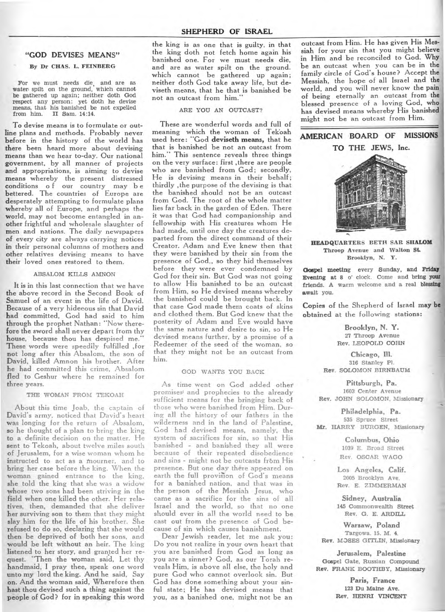## **"GOD DEVISES MEANS"**

## By Dr CHAS. L. FEINBERG

For we must needs die, and are as water spilt on the ground, which cannot be gathered up again; neither doth God respect any person: yet doth he devise means, that his banished be not expelled from him. II Sam. 14:14.

To devise means is to formulate or outline plans and methods. Probably never before in the history of the world has there been heard more about devising means than we hear to-day. Our national government, by all manner of projects and appropriations, is aiming to devise means whereby the present distressed conditions of our country may be bettered. The countries of Europe are desperately attempting to formulate plans whereby all of Europe, and perhaps the world, may not become entangled in another frightful and wholesale slaughter of men and nations. The daily newspapers of every city are always carrying notices in their personal columns of mothers and other relatives devising means to have their loved ones restored to them.

## ABSALOM KILLS AMNON

It is in this last connection that we have the above record in the Second Book of Samuel of an event in the life of David. Because of a very hideeous sin that David had committed, God had said to him through the prophet Nathan: "Now therefore the sword shall never depart from thy house, because thou has despised me. These words were speedily fulfilled ,for not long after this Absalom, the son of David, killed Amnon his brother. After he had committed this crime, Absalom fled to Geshur where he remained for three years.

## THE WOMAN FROM TEKOAH

About this time Joab, the captain of David's army, noticed that David's heart was longing for the return of Absalom, **so** he thought of a plan to bring the king to a definite decision on the matter. He sent to Tekoah, about twelve miles south of Jerusalem, for a wise woman whom he instructed to act as a mourner, and to bring her case before the king. When the woman gained entrance to the king, she told the king that she was a widow whose two sons had been striving in the field when one killed the other. Her relatives, then, demanded that she deliver her surviving son to them that they might slay him for the life of his brother. She refused to do so, declaring that she would then be deprived of both her sons, and would be left without an heir. The king listened to her story, and granted her request. "Then the woman said, Let thy handmaid, I pray thee, speak one word unto my lord the king. And he said, Say on. And the woman said, Wherefore then bast thou devised such a thing against the people of God? for in speaking this word

the king is as one that is guilty, in that the king doth not fetch home again his banished one. For we must needs die, and are as water spilt on the ground. which cannot be gathered up again; neither doth God take away life, but deviseth means, that he that is banished be not an outcast from him."

## ARE YOU AN OUTCAST?

These are wonderful words and full of meaning which the woman of Tekoah used here: "God **deviseth means,** that he that is banished be not an outcast from ' This sentence reveals three things on the very surface: first ,there are people who are banished from God; secondly, He is devising means in their behalf; thirdly ,the purpose of the devising is that the banished should not be an outcast from God. The root of the whole matter lies far back in the garden of Eden. There it was that God had companionship and fellowship with His creatures whom He had made, until one day the creatures departed from the direct command of their Creator. Adam and Eve knew then that they were banished by their sin from the presence of God,, so they hid themselves before they were ever condemned by God for their sin. But God was not going to allow His banished to be an outcast from Him, so He devised means whereby the banished could be brought back. In that case God made them coats of skins and clothed them. But God knew that the posterity of Adam and Eve would have the same nature and desire to sin, so He devised means further, by a promise of a Redeemer of the seed of the woman, so that they might not be an outcast from him.

#### GOD WANTS YOU BACK

As time went on God added other promises<sup>t</sup> and prophecies to the already sufficient means for the bringing back of those who were banished from Him. During all the history of our fathers in the wilderness and in the land of Palestine, God had devised means, namely, the system of sacrifices for sin, so that His banished - and banished they all were because of their repeated disobedience and sins - might not be outcasts from His presence. But one day there appeared on earth the full provision of God's means for a banished nation, and that was in the person of the Messiah Jesus, who came as a sacrifice for the sins of all Israel and the world, so that no one should ever in all the world need to be cast out from the presence of God because of sin which causes banishment.

Dear Jewish reader, let me ask you: Do you not realize in your own heart that you are banished from God as long as you are a sinner? God, as our Torah reveals Him, is above all else, the holy and pure God who cannot overlook sin. But God has done something about your sinful state; He has devised means that you, as a banished one, might not be an

outcast from Him. He has given His Messiah for your sin that you might believe in Him and be reconciled to God. Why be an outcast when you can be in the family circle of God's house? Accept the Messiah, the hope of all Israel and the world, and you will never know the pain of being eternally an outcast from the blessed presence of a loving God, who has devised means whereby His banished might not be an outcast from Him.

## **AMERICAN BOARD OF MISSIONS TO THE JEWS, Inc.**



**HEADQUARTERS BETH SAR SHALOM Throop Avenue and Walton St. Brooklyn, N. Y.** 

**Gospel meeting** every **Sunday, and Friday Evening at 8** o' clock. Come and **bring your friends. A** warm welcome and a real **blessing await you.** 

**Copies of** the Shepherd of Israel **may b obtained at** the following stations:

> **Brooklyn, N. Y.**  27 Throop Avenue Rev. LEOPOLD COHN

**Chicago, Ill.**  316 Stanley Pl. **Rev. SOLOMON BIRNBAUM** 

**Pittsburgh, Pa.**  1603 Center Avenue **Rev.** JOHN SOLOMON, Missionary

**Philadelphia, Pa.**  535 Spruce Street **Mr. HARRY BURGEN,** Missionary

> **Columbus, Ohio**  1039 E. Broad Street Rev. OSCAR WAGO

**Los Angeles, Calif.**  2005 Brooklyn Ave. Rev. E. ZIMMERMAN

**Sidney, Australia 145 Commonwealth Street Rev. G.** E. **ARDILL** 

**Warsaw, Poland**  Targowa. 15. M. **4. Rev.** MOSES GITLIN, Missionary

**Jerusalem, Palestine Gospel** Gate, Russian **Compound Rev. FRANK BOOTHBY, Missionary** 

> **Paris, France 123 Du Maine Ave. Rev. HENRI VINCENT**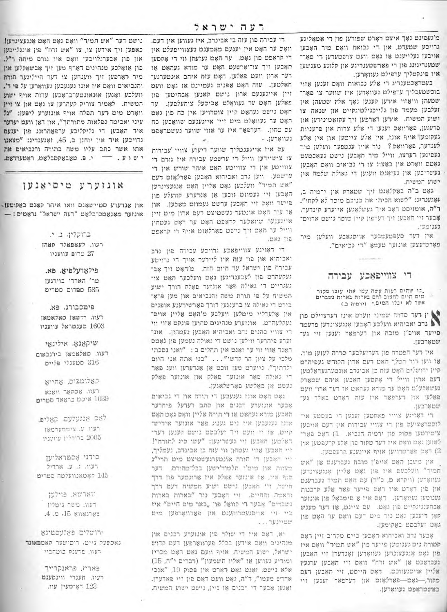מ'געפינט נאָך איצט דאָרט שפורען פון די אַמאָליגע גרויסע שטעדט, און די נכואה וואָס מיר האָבען אויבען געלייענט אז גאָט וועט צושטערען די פאַר־ שמענדיגונג פון די פארשמענדיגע און קלוגע מענשען איז פינקטליך ערפילט געווארען.

בעטראַכטענדיג די אַלע נבואות וואָם זענען אווי בוכשטעבליך ערפילט געוואָתען איז שווער צו פאר־ שטעהן וויאזוי אירען קענען נאָך אַלץ שטעהן אין זעלבען מעמד פון גלייכגילטיגקייט און שנאה צו ישוע המשיח. אידען רארפען זיך עקזאמינירען און פרענען, פארוואָם זענען די אַלּע צרות און פּרעניות געקומען אויף אונז, אין אלע צייטען און אין אלע לעגדער, פארוואָם? נור איין ענטפער וועלען מיר נעפינען דערצו, ווייל מיר האָבען נישט געאַכטעט גאָטס וואָרט אין באַצוג צו די נביאים וואָס האָבְען געשריבען און נעואָנט ווענען די גאולה שלמה אין ישוע המשיח.

גאָט ב״ה באַקלאָגט זיך שטאַרק אין ירמיה ב, אָגענדיג: "לשוא הכיתי את בניכם מוסר לא לקחו". ד"ה, אומזיסט האָב איך געשלאָגען אייערע קינדער, אָבער זיי האָבען זיך דערפון קיין מוסר נישט ארויס־ גענומען.

אין הער סעפטעמבער אויסנאבע וועלען מיר פארטועצען אונוער טעטא "די נביאים".

## די צווייפאַכע עבירה

,כי שתום רעות עשה עמו אתו עזבו מקור<br>-מים חיים לחצוב להם בארות בארות נשברים<br>אשר לא יכלו המים," (ירמיה ב.)

● ין דער סדרה שמיני ווערט אונז דערציילט פון ■ נדב ואביהוא וועלכע האָבען אָנגעצינדען פרעמד פייער אויפ'ן מזכח' און דערפאר זענען זיי גע־ שטאָרבען.

אין דער הפטרה פון דערועלבער סדרה לעוען מיר. אז ווען דוד המלך האט דעם ארון הקודש געפיהרט קיין ורושלים האָט עזה כן אבינדב אונטערגעהאַלטען דעם ארון ווייל די אָקסען האָבען איהם שטאַרק נעשאָקעלט האָט ער מורא נעהאַט אַז דער ארון וועט פאלען און דערפאר איז עזה דארט באלד גע־ שטארבען.

די דאויגע צוויי פאַקטען זענען די בעסטע אי־ לוסטראציעס פון די צוויי עבירות אין דעם אויבען ציטירטען פסוק פון ירמיה הנביא. 1) דאָם פאַר־ לאוען גאָט וואָס איז דער מקור פון אַלע קרעפטען און 2) ראם פארטרויען אויף אייגענע קרעפטען.

אין מישכן האָם אויפ׳ן מזבח געברענם אן "אִש תמיד" וועלכעם איז פון גאָט אליין אָנגעצינדען געוואָרען (ויקרא מ, כ"ד) עם האָט תמיד געברענט און פון דאָרט איז דאָס פייער פאַר אַלע קרבנות גענומען געוואָרען. - דאָם איז אַ סימבאָל פון אונזער אָבהענגינקייט פון נאָט. עם ציינט, או דער מענש קאן דיענען נאָט נור טיט דעם וואָס ער האָט פון גאָט זעלבסט באַקומען.

אָבער נדב ואכיהוא האָבען ביים מקריב זיין דאָם קטורת ניט גענומען פייער פון "אש תמיד" וואָם איז פון גאָט אָנגעצונהען געוואָרען זאָנדערן זיי חאָבען געבראכט אן "אש ורה" וואָם זיי האָבען ערגעץ אַליין אויסגעווכט. דאָס הייסט, זיי האָבען דעם מקור,--גאָט---פאַרלאָזט און דערפאַר זענען זיי באשטראפט געווארען.

די עבירה פון עזה בן אבינדב, איז געווען אין דעם. וואָם ער האָט אין יענעם מאָמענט געצווייפעלט אין די קראפט פון גאט. ער האט געועהן ווי די אקסען האָבען זיך צו־יאָזשעט האָט ער מורא געהאַט או דער ארון וועט פאַלען, האָט עזה איהם אונטערגע־ האלטען. עזה האָט אפנים געמיינט אז גאָט וועט זיין אייגענעם ארון נישם קאנען אָבהיטען פון פאַלען האָם ער געוואָלט אַביסעל צוהעלפען. ער האָט נישט געהאַט קיין צוטרויען אין כח פון גאָט האָט ער געוואָלט מיט זיין אייגענעם שוואַכען כח עם טהון. דערפאר איז ער אזוי שווער געשטראפט - נעווארען.

עם איז אייגענטליך שווער דיעזע צוויי 'עבירות צו צושיידען ווייל די ערשטע עבירה איז גורם די צווייטע און די צווייטע האָט איהר שורש אין די ערשטע. ווען נדב ואביהוא האָבען פאַרלאָזט דעם "אש תמיד" וועלכען נאָט אַליין האָט אָנגעצינדען האָבען זיי געמוזם זוכען אַן אַנדערע קוועלע פון פייער וואָם זיי האָבען ערשט געמוזט מאַכען. און או עוה האָט אונטער נעשטיצט דעם ארון מיט זיין אייגענער שוואכער קראפט האט ער דאם געטהון ווייל ער האָם זיך נישם פארלאָזם אויף די קראַפס פון נאָט.

די דאוינע צווייפאכע גרויסע עבירה פון נדב ואביהוא און פון עזה איז ליידער אויך די גרויסע עבירה פון ישראל עד היום הזה. מ'האָט זיך אָב־ נעקעהרט פון לעבענדיגען גאָט וועלכער האָט צו־ געגריים די גאולה פאר אונזער פאָלק הורך ישוע המשיח על פי תורת משה והנביאים און מען פרא־ בירט די גאולה צו ברענגען דורך פארשידענע אופנים און אַלְערליי מיטלען וועלכע מ'האָט אַליין אויס־ געקלעהרט. אונזערע מנהיגים טהוען פונקט אזוי ווי די צוויי כהנים נדב ואביהוא האָבען געמהון, אונד זערע פיהרער ווילען גישט די גאולה נעמען פון גאָטס האנר אזוי ווי ער זאָגט אין תהלים ב $\gamma$ ואני נסכתי מלכי על ציון חר קדשי"... "בני אתה אני היום ילדתיך". נייערט מען זוכט אן אנדערען וועג פאר די גאולה פאר אונזער פאלק און אונזער פאלק נעמט אן פאלשע פארשלאגען.

גאָט האָט אונז גענעבען די תורה און די גביאים אָבער אונזערע רבנים און סתם רעדעל פיחרער האָבען מזרא געהאַט אַז די תורה אַליין וואָם גאָט האָט אינו געגעבען איז גים גענוג פאר אונזער אידיש־ קייט, אז זי וועט זיך זעלבסט גישט קענען דער־ האלטען האָבען זיי געשריגען: "עשו סיג לתורה"! זיי האָבען אווי געטהון ווי עזה בן אבינדב, נעמליך, זיי האָבען די תורה אונטערגעשטיצט מיט תרי"ג מצוות און מיט'ן תלמוד'ישען בבל־טהורם. דער סוף איו, אז אונזער פאלק איז ארונטער פון דרך הישר, זיי האָבען גישט ישוע המשיח דעם דרך והאמת והחיים. זיי האָבען נור "בארות בארות נשברים" אָבער די קוואַל פון "באר מים חיים" איז ביי זיי אויסגעטרוקענט און פארוואָרפען מיט "פטיינער...

יאַ, דאָם איז די שולר פון אונזערע רבנים און מנהיגים וואָם אידען בכלל פערווארפען דעם קדוש ישראל, ישוע המשיח, אויף וועם גאָט האָט מכריז ומידיע געווען או "אליו תשמעון" (דברים י"ה, 15) אלא נישמ. זאָנט גאָט דאָרט אין פּסוק 19, "אנכי אדרש מעמו", ד"ה, גאָט וועט דאָם פון זיי פאָדערן. זאָגען אָבער די רבנים אַז ניין, נישט ישוע המשיח,

נישם דער "אש תמיד" וואָם גאָם האָם אָנגעצינדען! כאפען זיך אידען צו, צו "אש זרה" פון אונגלויבען און פון אבערגלויבען וואָס איז גורם מיתה ר"ל. פון אואלכע מנהיגים דארף מען זיך אָבשאָקלען און מיר דארפען זיך ווענדען צו דער הייליגער תורה והנביאים וואָם איז אונז געגעבען געוואָרען על פּי ד', וועלכע זאָגען אונאונטערבראָכען עדות אויף ישוע המשיח. לאמיר צוריק קעהרען צו גאָם און צו זיין וואָרט מיט דער תפלה אויף אונזערע ליפּען: "נל עיני ואביטה נפלאות מתורתך", און דאן וועט יעדער איד האָבען די גליקליכע ערפאַהרונג פון יענעם גרויסען איר אין יוחנן ב, 45, ואָגעטריג: "מצאנו אתו אשר כתב עליו משה בתורה והנביאים את י ש וע. - י. פ. טאַבאַקסבלאַט, ראָטערדאַם.

## אונזערע מיסיאנען

און אנדערע סטיישאנס וואו איהר קאנט באקומעו. אונזער מאנאמס־בלאט "רעה ישראל" נראטיס: -

> ברוקלין. נ. י. רעוו. לעאפאלד סאהו טרופ עוועניו  $27$

פילאדעלפיא. פא. מר' האררי בוירגען 535 ספרוס סטריט

פימסבורג, פא. רעוו. דושאן סאלאמאן 1603 סענטראל עוועניו

שיקאגא. אילינאי רעוו. סאלאמאו בירנבאום 316 סטענלי פליים

קאלומבום, אחייא רעוו. אסקאר וואנא טרים בראָאַד מטרים 2039

ראם אנגעלעם. קאלים. רעוו. ע. ציממערמאן

2005 ברוקליו עוועניו

םידני אסטראליען רעוו. ג. ע. ארדיל 145 קאמאנוועלטה סטרים

> ווארשא, פוילען רעוו. משה גיטליו  $.4.5.15$  8082782

ירושלים פאלעסטינא נאספעל גייט. רוסישער קאמפאונד רעוו. פרענס בוטחביי

> פאריז, פראנקרייך רעוו. הענרי ווינסענט 123 דאָ־מעין עוו.